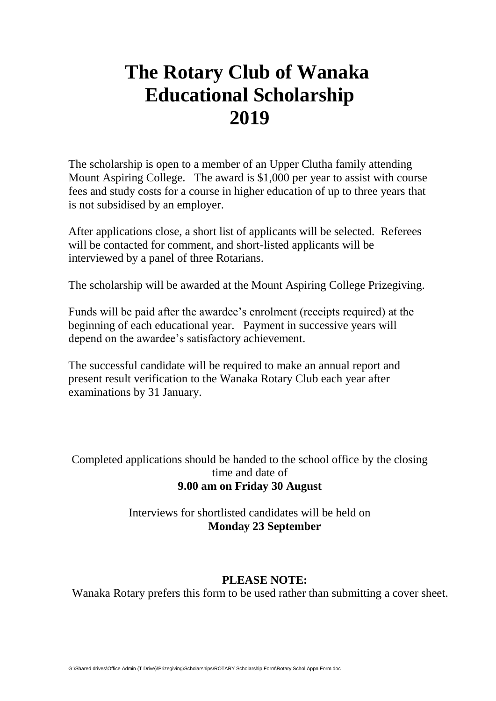## **The Rotary Club of Wanaka Educational Scholarship 2019**

The scholarship is open to a member of an Upper Clutha family attending Mount Aspiring College. The award is \$1,000 per year to assist with course fees and study costs for a course in higher education of up to three years that is not subsidised by an employer.

After applications close, a short list of applicants will be selected. Referees will be contacted for comment, and short-listed applicants will be interviewed by a panel of three Rotarians.

The scholarship will be awarded at the Mount Aspiring College Prizegiving.

Funds will be paid after the awardee's enrolment (receipts required) at the beginning of each educational year. Payment in successive years will depend on the awardee's satisfactory achievement.

The successful candidate will be required to make an annual report and present result verification to the Wanaka Rotary Club each year after examinations by 31 January.

Completed applications should be handed to the school office by the closing time and date of **9.00 am on Friday 30 August**

> Interviews for shortlisted candidates will be held on **Monday 23 September**

## **PLEASE NOTE:**

Wanaka Rotary prefers this form to be used rather than submitting a cover sheet.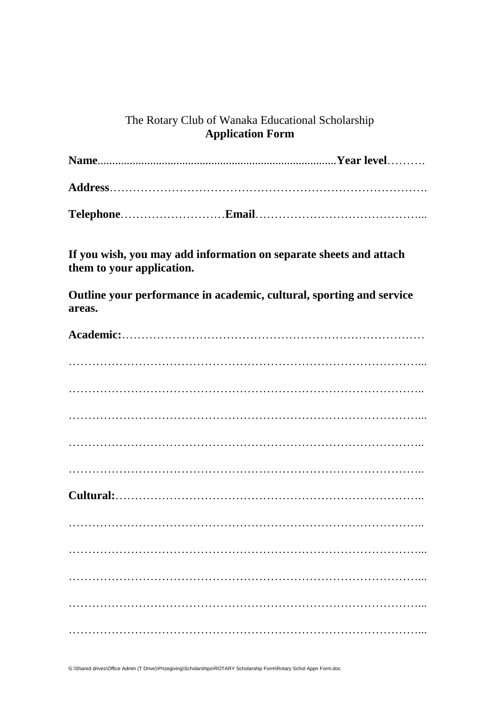## The Rotary Club of Wanaka Educational Scholarship **Application Form**

| If you wish, you may add information on separate sheets and attach<br>them to your application. |  |  |  |  |  |  |
|-------------------------------------------------------------------------------------------------|--|--|--|--|--|--|
| Outline your performance in academic, cultural, sporting and service<br>areas.                  |  |  |  |  |  |  |
|                                                                                                 |  |  |  |  |  |  |
|                                                                                                 |  |  |  |  |  |  |
|                                                                                                 |  |  |  |  |  |  |
|                                                                                                 |  |  |  |  |  |  |
|                                                                                                 |  |  |  |  |  |  |
|                                                                                                 |  |  |  |  |  |  |
|                                                                                                 |  |  |  |  |  |  |
|                                                                                                 |  |  |  |  |  |  |
|                                                                                                 |  |  |  |  |  |  |
|                                                                                                 |  |  |  |  |  |  |
|                                                                                                 |  |  |  |  |  |  |
|                                                                                                 |  |  |  |  |  |  |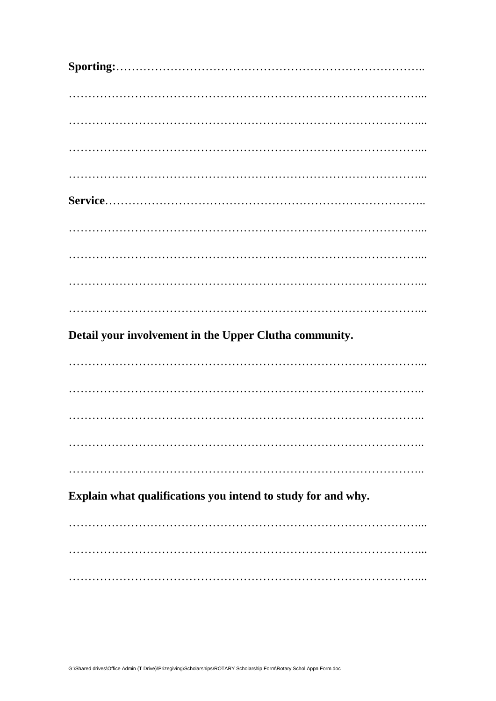| Detail your involvement in the Upper Clutha community.       |  |  |
|--------------------------------------------------------------|--|--|
|                                                              |  |  |
|                                                              |  |  |
|                                                              |  |  |
|                                                              |  |  |
|                                                              |  |  |
| Explain what qualifications you intend to study for and why. |  |  |
|                                                              |  |  |
|                                                              |  |  |